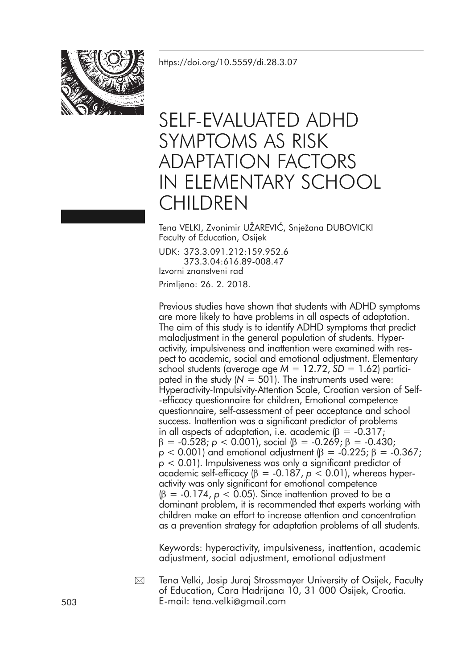<https://doi.org/10.5559/di.28.3.07>



# SELF-EVALUATED ADHD SYMPTOMS AS RISK ADAPTATION FACTORS IN ELEMENTARY SCHOOL CHILDREN

Tena VELKI, Zvonimir UŽAREVIĆ, Snježana DUBOVICKI Faculty of Education, Osijek

UDK: 373.3.091.212:159.952.6 373.3.04:616.89-008.47 Izvorni znanstveni rad Primljeno: 26. 2. 2018.

Previous studies have shown that students with ADHD symptoms are more likely to have problems in all aspects of adaptation. The aim of this study is to identify ADHD symptoms that predict maladjustment in the general population of students. Hyperactivity, impulsiveness and inattention were examined with respect to academic, social and emotional adjustment. Elementary school students (average age *M* = 12.72, *SD* = 1.62) participated in the study  $(N = 501)$ . The instruments used were: Hyperactivity-Impulsivity-Attention Scale, Croatian version of Self- -efficacy questionnaire for children, Emotional competence questionnaire, self-assessment of peer acceptance and school success. Inattention was a significant predictor of problems in all aspects of adaptation, i.e. academic  $(\beta = -0.317)$ ;  $β = -0.528; p < 0.001$ , social  $β = -0.269; β = -0.430;$  $p$  < 0.001) and emotional adjustment ( $\beta$  = -0.225;  $\beta$  = -0.367; *p* < 0.01). Impulsiveness was only a significant predictor of academic self-efficacy  $(β = -0.187, p < 0.01)$ , whereas hyperactivity was only significant for emotional competence  $(\beta = -0.174, p < 0.05)$ . Since inattention proved to be a dominant problem, it is recommended that experts working with children make an effort to increase attention and concentration as a prevention strategy for adaptation problems of all students.

Keywords: hyperactivity, impulsiveness, inattention, academic adjustment, social adjustment, emotional adjustment

Tena Velki, Josip Juraj Strossmayer University of Osijek, Faculty of Education, Cara Hadrijana 10, 31 000 Osijek, Croatia. 503 E-mail: tena.velki@gmail.com  $\boxtimes$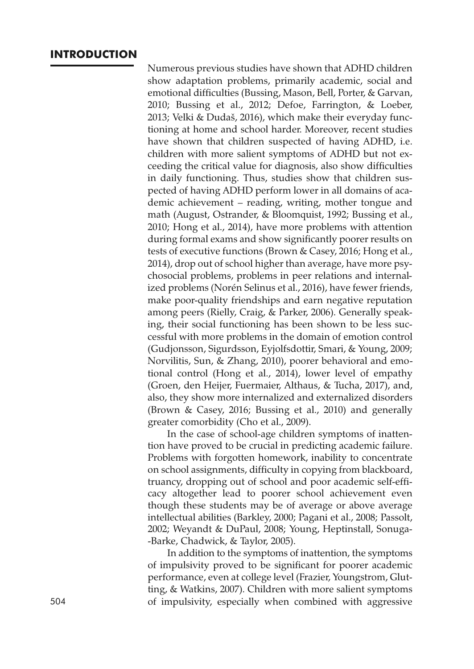#### **INTRODUCTION**

Numerous previous studies have shown that ADHD children show adaptation problems, primarily academic, social and emotional difficulties (Bussing, Mason, Bell, Porter, & Garvan, 2010; Bussing et al., 2012; Defoe, Farrington, & Loeber, 2013; Velki & Dudaš, 2016), which make their everyday functioning at home and school harder. Moreover, recent studies have shown that children suspected of having ADHD, i.e. children with more salient symptoms of ADHD but not exceeding the critical value for diagnosis, also show difficulties in daily functioning. Thus, studies show that children suspected of having ADHD perform lower in all domains of academic achievement – reading, writing, mother tongue and math (August, Ostrander, & Bloomquist, 1992; Bussing et al., 2010; Hong et al., 2014), have more problems with attention during formal exams and show significantly poorer results on tests of executive functions (Brown & Casey, 2016; Hong et al., 2014), drop out of school higher than average, have more psychosocial problems, problems in peer relations and internalized problems (Norén Selinus et al., 2016), have fewer friends, make poor-quality friendships and earn negative reputation among peers (Rielly, Craig, & Parker, 2006). Generally speaking, their social functioning has been shown to be less successful with more problems in the domain of emotion control (Gudjonsson, Sigurdsson, Eyjolfsdottir, Smari, & Young, 2009; Norvilitis, Sun, & Zhang, 2010), poorer behavioral and emotional control (Hong et al., 2014), lower level of empathy (Groen, den Heijer, Fuermaier, Althaus, & Tucha, 2017), and, also, they show more internalized and externalized disorders (Brown & Casey, 2016; Bussing et al., 2010) and generally greater comorbidity (Cho et al., 2009).

In the case of school-age children symptoms of inattention have proved to be crucial in predicting academic failure. Problems with forgotten homework, inability to concentrate on school assignments, difficulty in copying from blackboard, truancy, dropping out of school and poor academic self-efficacy altogether lead to poorer school achievement even though these students may be of average or above average intellectual abilities (Barkley, 2000; Pagani et al., 2008; Passolt, 2002; Weyandt & DuPaul, 2008; Young, Heptinstall, Sonuga- -Barke, Chadwick, & Taylor, 2005).

In addition to the symptoms of inattention, the symptoms of impulsivity proved to be significant for poorer academic performance, even at college level (Frazier, Youngstrom, Glutting, & Watkins, 2007). Children with more salient symptoms 504 of impulsivity, especially when combined with aggressive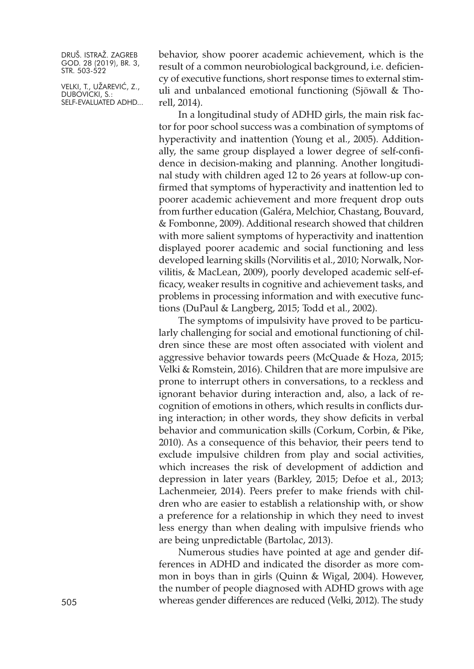VELKI, T., UŽAREVIĆ, Z., DUBOVICKI, S.: SELF-EVALUATED ADHD... behavior, show poorer academic achievement, which is the result of a common neurobiological background, i.e. deficiency of executive functions, short response times to external stimuli and unbalanced emotional functioning (Sjöwall & Thorell, 2014).

In a longitudinal study of ADHD girls, the main risk factor for poor school success was a combination of symptoms of hyperactivity and inattention (Young et al., 2005). Additionally, the same group displayed a lower degree of self-confidence in decision-making and planning. Another longitudinal study with children aged 12 to 26 years at follow-up confirmed that symptoms of hyperactivity and inattention led to poorer academic achievement and more frequent drop outs from further education (Galéra, Melchior, Chastang, Bouvard, & Fombonne, 2009). Additional research showed that children with more salient symptoms of hyperactivity and inattention displayed poorer academic and social functioning and less developed learning skills (Norvilitis et al., 2010; Norwalk, Norvilitis, & MacLean, 2009), poorly developed academic self-efficacy, weaker results in cognitive and achievement tasks, and problems in processing information and with executive functions (DuPaul & Langberg, 2015; Todd et al., 2002).

The symptoms of impulsivity have proved to be particularly challenging for social and emotional functioning of children since these are most often associated with violent and aggressive behavior towards peers (McQuade & Hoza, 2015; Velki & Romstein, 2016). Children that are more impulsive are prone to interrupt others in conversations, to a reckless and ignorant behavior during interaction and, also, a lack of recognition of emotions in others, which results in conflicts during interaction; in other words, they show deficits in verbal behavior and communication skills (Corkum, Corbin, & Pike, 2010). As a consequence of this behavior, their peers tend to exclude impulsive children from play and social activities, which increases the risk of development of addiction and depression in later years (Barkley, 2015; Defoe et al., 2013; Lachenmeier, 2014). Peers prefer to make friends with children who are easier to establish a relationship with, or show a preference for a relationship in which they need to invest less energy than when dealing with impulsive friends who are being unpredictable (Bartolac, 2013).

Numerous studies have pointed at age and gender differences in ADHD and indicated the disorder as more common in boys than in girls (Quinn & Wigal, 2004). However, the number of people diagnosed with ADHD grows with age 505 whereas gender differences are reduced (Velki, 2012). The study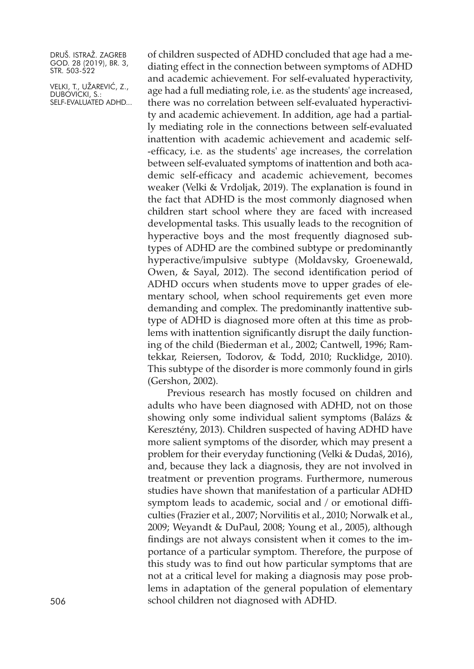VELKI, T., UŽAREVIĆ, Z., DUBOVICKI, S.: SELF-EVALUATED ADHD...

of children suspected of ADHD concluded that age had a mediating effect in the connection between symptoms of ADHD and academic achievement. For self-evaluated hyperactivity, age had a full mediating role, i.e. as the students' age increased, there was no correlation between self-evaluated hyperactivity and academic achievement. In addition, age had a partially mediating role in the connections between self-evaluated inattention with academic achievement and academic self- -efficacy, i.e. as the students' age increases, the correlation between self-evaluated symptoms of inattention and both academic self-efficacy and academic achievement, becomes weaker (Velki & Vrdoljak, 2019). The explanation is found in the fact that ADHD is the most commonly diagnosed when children start school where they are faced with increased developmental tasks. This usually leads to the recognition of hyperactive boys and the most frequently diagnosed subtypes of ADHD are the combined subtype or predominantly hyperactive/impulsive subtype (Moldavsky, Groenewald, Owen, & Sayal, 2012). The second identification period of ADHD occurs when students move to upper grades of elementary school, when school requirements get even more demanding and complex. The predominantly inattentive subtype of ADHD is diagnosed more often at this time as problems with inattention significantly disrupt the daily functioning of the child (Biederman et al., 2002; Cantwell, 1996; Ramtekkar, Reiersen, Todorov, & Todd, 2010; Rucklidge, 2010). This subtype of the disorder is more commonly found in girls (Gershon, 2002).

Previous research has mostly focused on children and adults who have been diagnosed with ADHD, not on those showing only some individual salient symptoms (Balázs & Keresztény, 2013). Children suspected of having ADHD have more salient symptoms of the disorder, which may present a problem for their everyday functioning (Velki & Dudaš, 2016), and, because they lack a diagnosis, they are not involved in treatment or prevention programs. Furthermore, numerous studies have shown that manifestation of a particular ADHD symptom leads to academic, social and / or emotional difficulties (Frazier et al., 2007; Norvilitis et al., 2010; Norwalk et al., 2009; Weyandt & DuPaul, 2008; Young et al., 2005), although findings are not always consistent when it comes to the importance of a particular symptom. Therefore, the purpose of this study was to find out how particular symptoms that are not at a critical level for making a diagnosis may pose problems in adaptation of the general population of elementary school children not diagnosed with ADHD.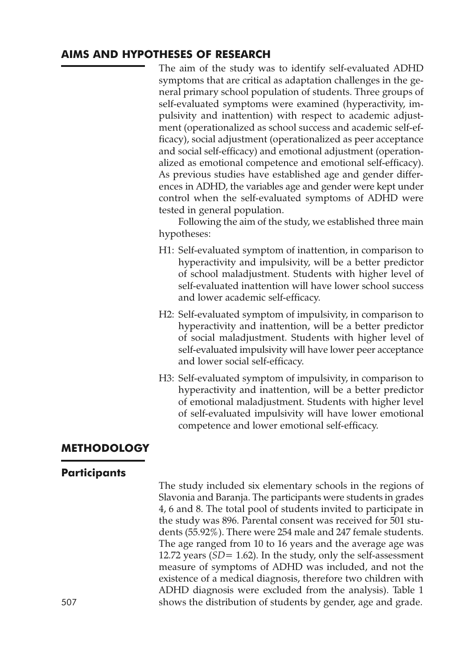# **AIMS AND HYPOTHESES OF RESEARCH**

The aim of the study was to identify self-evaluated ADHD symptoms that are critical as adaptation challenges in the general primary school population of students. Three groups of self-evaluated symptoms were examined (hyperactivity, impulsivity and inattention) with respect to academic adjustment (operationalized as school success and academic self-efficacy), social adjustment (operationalized as peer acceptance and social self-efficacy) and emotional adjustment (operationalized as emotional competence and emotional self-efficacy). As previous studies have established age and gender differences in ADHD, the variables age and gender were kept under control when the self-evaluated symptoms of ADHD were tested in general population.

Following the aim of the study, we established three main hypotheses:

- H1: Self-evaluated symptom of inattention, in comparison to hyperactivity and impulsivity, will be a better predictor of school maladjustment. Students with higher level of self-evaluated inattention will have lower school success and lower academic self-efficacy.
- H2: Self-evaluated symptom of impulsivity, in comparison to hyperactivity and inattention, will be a better predictor of social maladjustment. Students with higher level of self-evaluated impulsivity will have lower peer acceptance and lower social self-efficacy.
- H3: Self-evaluated symptom of impulsivity, in comparison to hyperactivity and inattention, will be a better predictor of emotional maladjustment. Students with higher level of self-evaluated impulsivity will have lower emotional competence and lower emotional self-efficacy.

# **METHODOLOGY**

## **Participants**

The study included six elementary schools in the regions of Slavonia and Baranja. The participants were students in grades 4, 6 and 8. The total pool of students invited to participate in the study was 896. Parental consent was received for 501 students (55.92%). There were 254 male and 247 female students. The age ranged from 10 to 16 years and the average age was 12.72 years (*SD*= 1.62). In the study, only the self-assessment measure of symptoms of ADHD was included, and not the existence of a medical diagnosis, therefore two children with ADHD diagnosis were excluded from the analysis). Table 1 507 shows the distribution of students by gender, age and grade.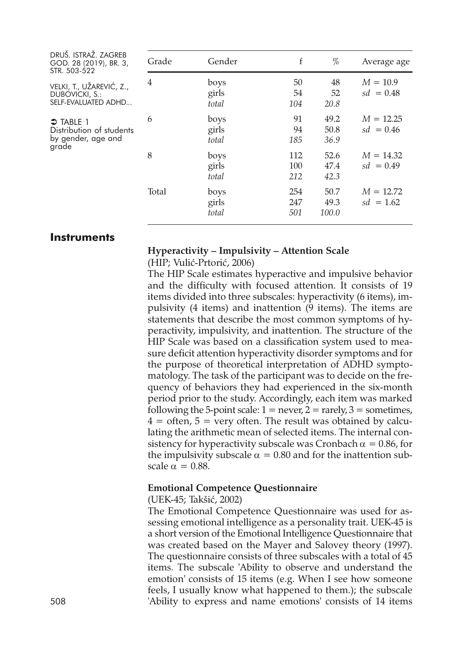| DRUŠ. ISTRAŽ. ZAGREB<br>GOD. 28 (2019), BR. 3,<br>STR. 503-522               | Grade          | Gender                 | f                 | $\%$                  | Average age                |
|------------------------------------------------------------------------------|----------------|------------------------|-------------------|-----------------------|----------------------------|
| VELKI, T., UŽAREVIĆ, Z.,<br><b>DUBOVICKI, S.:</b><br>SELF-EVALUATED ADHD     | $\overline{4}$ | boys<br>girls<br>total | 50<br>54<br>104   | 48<br>52<br>20.8      | $M = 10.9$<br>$sd = 0.48$  |
| $\supset$ TABLE 1<br>Distribution of students<br>by gender, age and<br>grade | 6              | boys<br>girls<br>total | 91<br>94<br>185   | 49.2<br>50.8<br>36.9  | $M = 12.25$<br>$sd = 0.46$ |
|                                                                              | 8              | boys<br>girls<br>total | 112<br>100<br>212 | 52.6<br>47.4<br>42.3  | $M = 14.32$<br>$sd = 0.49$ |
|                                                                              | Total          | boys<br>girls<br>total | 254<br>247<br>501 | 50.7<br>49.3<br>100.0 | $M = 12.72$<br>$sd = 1.62$ |

#### **Instruments**

#### **Hyperactivity – Impulsivity – Attention Scale**

(HIP; Vulić-Prtorić, 2006)

The HIP Scale estimates hyperactive and impulsive behavior and the difficulty with focused attention. It consists of 19 items divided into three subscales: hyperactivity (6 items), impulsivity (4 items) and inattention (9 items). The items are statements that describe the most common symptoms of hyperactivity, impulsivity, and inattention. The structure of the HIP Scale was based on a classification system used to measure deficit attention hyperactivity disorder symptoms and for the purpose of theoretical interpretation of ADHD symptomatology. The task of the participant was to decide on the frequency of behaviors they had experienced in the six-month period prior to the study. Accordingly, each item was marked following the 5-point scale:  $1 =$  never,  $2 =$  rarely,  $3 =$  sometimes,  $4 =$  often,  $5 =$  very often. The result was obtained by calculating the arithmetic mean of selected items. The internal consistency for hyperactivity subscale was Cronbach  $\alpha = 0.86$ , for the impulsivity subscale  $\alpha = 0.80$  and for the inattention subscale  $\alpha = 0.88$ .

#### **Emotional Competence Questionnaire**

(UEK-45; Takšić, 2002)

The Emotional Competence Questionnaire was used for assessing emotional intelligence as a personality trait. UEK-45 is a short version of the Emotional Intelligence Questionnaire that was created based on the Mayer and Salovey theory (1997). The questionnaire consists of three subscales with a total of 45 items. The subscale 'Ability to observe and understand the emotion' consists of 15 items (e.g. When I see how someone feels, I usually know what happened to them.); the subscale 'Ability to express and name emotions' consists of 14 items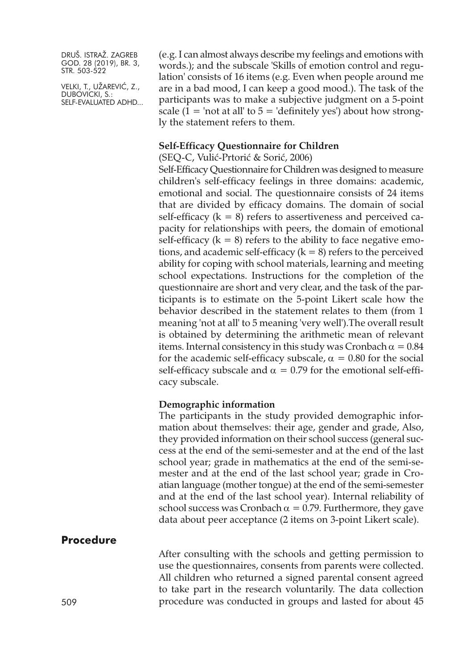VELKI, T., UŽAREVIĆ, Z., DUBOVICKI, S.: SELF-EVALUATED ADHD... (e.g. I can almost always describe my feelings and emotions with words.); and the subscale 'Skills of emotion control and regulation' consists of 16 items (e.g. Even when people around me are in a bad mood, I can keep a good mood.). The task of the participants was to make a subjective judgment on a 5-point scale  $(1 = \text{'not at all' to } 5 = \text{'definitely yes'})$  about how strongly the statement refers to them.

#### **Self-Efficacy Questionnaire for Children**

(SEQ-C, Vulić-Prtorić & Sorić, 2006)

Self-Efficacy Questionnaire for Children was designed to measure children's self-efficacy feelings in three domains: academic, emotional and social. The questionnaire consists of 24 items that are divided by efficacy domains. The domain of social self-efficacy  $(k = 8)$  refers to assertiveness and perceived capacity for relationships with peers, the domain of emotional self-efficacy  $(k = 8)$  refers to the ability to face negative emotions, and academic self-efficacy  $(k = 8)$  refers to the perceived ability for coping with school materials, learning and meeting school expectations. Instructions for the completion of the questionnaire are short and very clear, and the task of the participants is to estimate on the 5-point Likert scale how the behavior described in the statement relates to them (from 1 meaning 'not at all' to 5 meaning 'very well').The overall result is obtained by determining the arithmetic mean of relevant items. Internal consistency in this study was Cronbach  $\alpha = 0.84$ for the academic self-efficacy subscale,  $\alpha = 0.80$  for the social self-efficacy subscale and  $\alpha = 0.79$  for the emotional self-efficacy subscale.

#### **Demographic information**

The participants in the study provided demographic information about themselves: their age, gender and grade, Also, they provided information on their school success (general success at the end of the semi-semester and at the end of the last school year; grade in mathematics at the end of the semi-semester and at the end of the last school year; grade in Croatian language (mother tongue) at the end of the semi-semester and at the end of the last school year). Internal reliability of school success was Cronbach  $\alpha = 0.79$ . Furthermore, they gave data about peer acceptance (2 items on 3-point Likert scale).

#### **Procedure**

After consulting with the schools and getting permission to use the questionnaires, consents from parents were collected. All children who returned a signed parental consent agreed to take part in the research voluntarily. The data collection 509 procedure was conducted in groups and lasted for about 45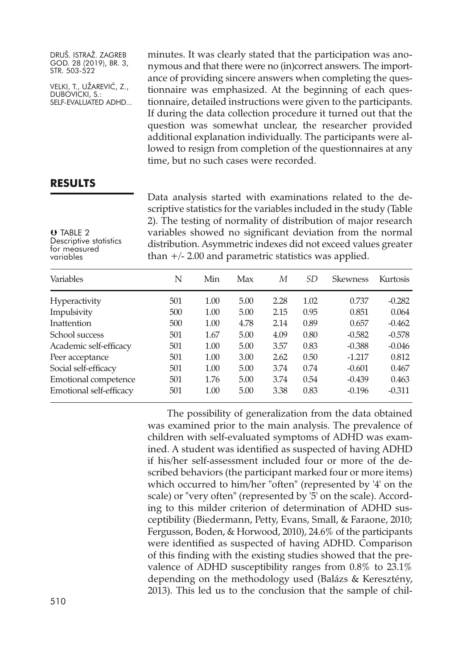VELKI, T., UŽAREVIĆ, Z., DUBOVICKI, S.: SELF-EVALUATED ADHD... minutes. It was clearly stated that the participation was anonymous and that there were no (in)correct answers. The importance of providing sincere answers when completing the questionnaire was emphasized. At the beginning of each questionnaire, detailed instructions were given to the participants. If during the data collection procedure it turned out that the question was somewhat unclear, the researcher provided additional explanation individually. The participants were allowed to resign from completion of the questionnaires at any time, but no such cases were recorded.

Data analysis started with examinations related to the descriptive statistics for the variables included in the study (Table 2). The testing of normality of distribution of major research variables showed no significant deviation from the normal distribution. Asymmetric indexes did not exceed values greater than  $+/- 2.00$  and parametric statistics was applied.

**RESULTS**

 TABLE 2 Descriptive statistics for measured variables

| Variables               | N   | Min  | Max  | М    | <i>SD</i> | <b>Skewness</b> | Kurtosis |
|-------------------------|-----|------|------|------|-----------|-----------------|----------|
| Hyperactivity           | 501 | 1.00 | 5.00 | 2.28 | 1.02      | 0.737           | $-0.282$ |
| Impulsivity             | 500 | 1.00 | 5.00 | 2.15 | 0.95      | 0.851           | 0.064    |
| Inattention             | 500 | 1.00 | 4.78 | 2.14 | 0.89      | 0.657           | $-0.462$ |
| School success          | 501 | 1.67 | 5.00 | 4.09 | 0.80      | $-0.582$        | $-0.578$ |
| Academic self-efficacy  | 501 | 1.00 | 5.00 | 3.57 | 0.83      | $-0.388$        | $-0.046$ |
| Peer acceptance         | 501 | 1.00 | 3.00 | 2.62 | 0.50      | $-1.217$        | 0.812    |
| Social self-efficacy    | 501 | 1.00 | 5.00 | 3.74 | 0.74      | $-0.601$        | 0.467    |
| Emotional competence    | 501 | 1.76 | 5.00 | 3.74 | 0.54      | $-0.439$        | 0.463    |
| Emotional self-efficacy | 501 | 1.00 | 5.00 | 3.38 | 0.83      | $-0.196$        | $-0.311$ |

The possibility of generalization from the data obtained was examined prior to the main analysis. The prevalence of children with self-evaluated symptoms of ADHD was examined. A student was identified as suspected of having ADHD if his/her self-assessment included four or more of the described behaviors (the participant marked four or more items) which occurred to him/her "often" (represented by '4' on the scale) or "very often" (represented by '5' on the scale). According to this milder criterion of determination of ADHD susceptibility (Biedermann, Petty, Evans, Small, & Faraone, 2010; Fergusson, Boden, & Horwood, 2010), 24.6% of the participants were identified as suspected of having ADHD. Comparison of this finding with the existing studies showed that the prevalence of ADHD susceptibility ranges from 0.8% to 23.1% depending on the methodology used (Balázs & Keresztény, 2013). This led us to the conclusion that the sample of chil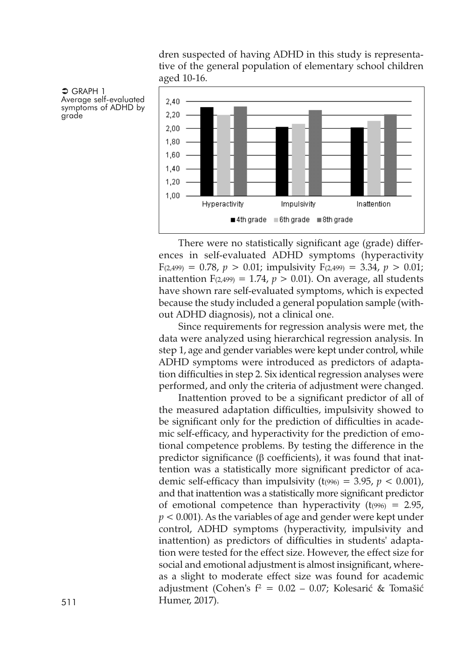dren suspected of having ADHD in this study is representative of the general population of elementary school children aged 10-16.





There were no statistically significant age (grade) differences in self-evaluated ADHD symptoms (hyperactivity  $F_{(2,499)} = 0.78$ ,  $p > 0.01$ ; impulsivity  $F_{(2,499)} = 3.34$ ,  $p > 0.01$ ; inattention  $F(2,499) = 1.74$ ,  $p > 0.01$ ). On average, all students have shown rare self-evaluated symptoms, which is expected because the study included a general population sample (without ADHD diagnosis), not a clinical one.

Since requirements for regression analysis were met, the data were analyzed using hierarchical regression analysis. In step 1, age and gender variables were kept under control, while ADHD symptoms were introduced as predictors of adaptation difficulties in step 2. Six identical regression analyses were performed, and only the criteria of adjustment were changed.

Inattention proved to be a significant predictor of all of the measured adaptation difficulties, impulsivity showed to be significant only for the prediction of difficulties in academic self-efficacy, and hyperactivity for the prediction of emotional competence problems. By testing the difference in the predictor significance (β coefficients), it was found that inattention was a statistically more significant predictor of academic self-efficacy than impulsivity ( $t(996) = 3.95$ ,  $p < 0.001$ ), and that inattention was a statistically more significant predictor of emotional competence than hyperactivity ( $t(996) = 2.95$ , *p* < 0.001). As the variables of age and gender were kept under control, ADHD symptoms (hyperactivity, impulsivity and inattention) as predictors of difficulties in students' adaptation were tested for the effect size. However, the effect size for social and emotional adjustment is almost insignificant, whereas a slight to moderate effect size was found for academic adjustment (Cohen's  $f^2 = 0.02 - 0.07$ ; Kolesarić & Tomašić 511 Humer, 2017).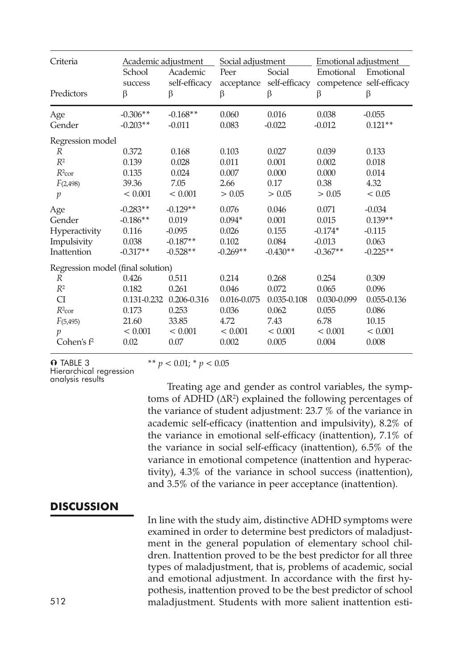| Criteria                          | Academic adjustment |               | Social adjustment |               | <b>Emotional adjustment</b> |                          |  |  |
|-----------------------------------|---------------------|---------------|-------------------|---------------|-----------------------------|--------------------------|--|--|
|                                   | School              | Academic      | Peer              | Social        | Emotional                   | Emotional                |  |  |
|                                   | success             | self-efficacy | acceptance        | self-efficacy |                             | competence self-efficacy |  |  |
| Predictors                        | β                   | $\beta$       | β                 | β             | β                           | β                        |  |  |
| Age                               | $-0.306**$          | $-0.168**$    | 0.060             | 0.016         | 0.038                       | $-0.055$                 |  |  |
| Gender                            | $-0.203**$          | $-0.011$      | 0.083             | $-0.022$      | $-0.012$                    | $0.121**$                |  |  |
| Regression model                  |                     |               |                   |               |                             |                          |  |  |
| R                                 | 0.372               | 0.168         | 0.103             | 0.027         | 0.039                       | 0.133                    |  |  |
| $R^2$                             | 0.139               | 0.028         | 0.011             | 0.001         | 0.002                       | 0.018                    |  |  |
| $R2$ cor                          | 0.135               | 0.024         | 0.007             | 0.000         | 0.000                       | 0.014                    |  |  |
| F(2,498)                          | 39.36               | 7.05          | 2.66              | 0.17          | 0.38                        | 4.32                     |  |  |
| $\mathcal{V}$                     | < 0.001             | < 0.001       | > 0.05            | > 0.05        | > 0.05                      | < 0.05                   |  |  |
| Age                               | $-0.283**$          | $-0.129**$    | 0.076             | 0.046         | 0.071                       | $-0.034$                 |  |  |
| Gender                            | $-0.186**$          | 0.019         | $0.094*$          | 0.001         | 0.015                       | $0.139**$                |  |  |
| Hyperactivity                     | 0.116               | $-0.095$      | 0.026             | 0.155         | $-0.174*$                   | $-0.115$                 |  |  |
| Impulsivity                       | 0.038               | $-0.187**$    | 0.102             | 0.084         | $-0.013$                    | 0.063                    |  |  |
| Inattention                       | $-0.317**$          | $-0.528**$    | $-0.269**$        | $-0.430**$    | $-0.367**$                  | $-0.225**$               |  |  |
| Regression model (final solution) |                     |               |                   |               |                             |                          |  |  |
| R                                 | 0.426               | 0.511         | 0.214             | 0.268         | 0.254                       | 0.309                    |  |  |
| $R^2$                             | 0.182               | 0.261         | 0.046             | 0.072         | 0.065                       | 0.096                    |  |  |
| CI                                | 0.131-0.232         | 0.206-0.316   | 0.016-0.075       | 0.035-0.108   | 0.030-0.099                 | 0.055-0.136              |  |  |
| $R2$ cor                          | 0.173               | 0.253         | 0.036             | 0.062         | 0.055                       | 0.086                    |  |  |
| F(5,495)                          | 21.60               | 33.85         | 4.72              | 7.43          | 6.78                        | 10.15                    |  |  |
| $\mathcal{V}$                     | < 0.001             | < 0.001       | < 0.001           | < 0.001       | < 0.001                     | < 0.001                  |  |  |
| Cohen's $f^2$                     | 0.02                | 0.07          | 0.002             | 0.005         | 0.004                       | 0.008                    |  |  |

**O** TABLE 3 Hierarchical regression analysis results \*\* *p* < 0.01; \* *p* < 0.05

Treating age and gender as control variables, the symptoms of ADHD (ΔR<sup>2</sup>) explained the following percentages of the variance of student adjustment: 23.7 % of the variance in academic self-efficacy (inattention and impulsivity), 8.2% of the variance in emotional self-efficacy (inattention), 7.1% of the variance in social self-efficacy (inattention), 6.5% of the variance in emotional competence (inattention and hyperactivity), 4.3% of the variance in school success (inattention), and 3.5% of the variance in peer acceptance (inattention).

# **DISCUSSION**

In line with the study aim, distinctive ADHD symptoms were examined in order to determine best predictors of maladjustment in the general population of elementary school children. Inattention proved to be the best predictor for all three types of maladjustment, that is, problems of academic, social and emotional adjustment. In accordance with the first hypothesis, inattention proved to be the best predictor of school 512 maladjustment. Students with more salient inattention esti-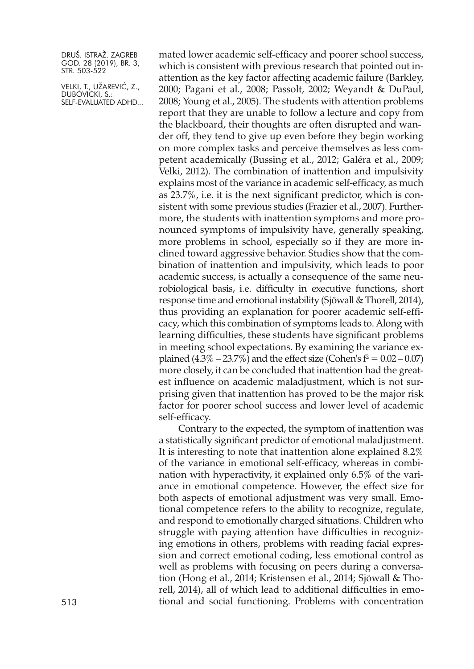VELKI, T., UŽAREVIĆ, Z., DUBOVICKI, S.: SELF-EVALUATED ADHD...

mated lower academic self-efficacy and poorer school success, which is consistent with previous research that pointed out inattention as the key factor affecting academic failure (Barkley, 2000; Pagani et al., 2008; Passolt, 2002; Weyandt & DuPaul, 2008; Young et al., 2005). The students with attention problems report that they are unable to follow a lecture and copy from the blackboard, their thoughts are often disrupted and wander off, they tend to give up even before they begin working on more complex tasks and perceive themselves as less competent academically (Bussing et al., 2012; Galéra et al., 2009; Velki, 2012). The combination of inattention and impulsivity explains most of the variance in academic self-efficacy, as much as 23.7%, i.e. it is the next significant predictor, which is consistent with some previous studies (Frazier et al., 2007). Furthermore, the students with inattention symptoms and more pronounced symptoms of impulsivity have, generally speaking, more problems in school, especially so if they are more inclined toward aggressive behavior. Studies show that the combination of inattention and impulsivity, which leads to poor academic success, is actually a consequence of the same neurobiological basis, i.e. difficulty in executive functions, short response time and emotional instability (Sjöwall & Thorell, 2014), thus providing an explanation for poorer academic self-efficacy, which this combination of symptoms leads to. Along with learning difficulties, these students have significant problems in meeting school expectations. By examining the variance explained (4.3% – 23.7%) and the effect size (Cohen's  $f^2 = 0.02 - 0.07$ ) more closely, it can be concluded that inattention had the greatest influence on academic maladjustment, which is not surprising given that inattention has proved to be the major risk factor for poorer school success and lower level of academic self-efficacy.

Contrary to the expected, the symptom of inattention was a statistically significant predictor of emotional maladjustment. It is interesting to note that inattention alone explained 8.2% of the variance in emotional self-efficacy, whereas in combination with hyperactivity, it explained only 6.5% of the variance in emotional competence. However, the effect size for both aspects of emotional adjustment was very small. Emotional competence refers to the ability to recognize, regulate, and respond to emotionally charged situations. Children who struggle with paying attention have difficulties in recognizing emotions in others, problems with reading facial expression and correct emotional coding, less emotional control as well as problems with focusing on peers during a conversation (Hong et al., 2014; Kristensen et al., 2014; Sjöwall & Thorell, 2014), all of which lead to additional difficulties in emo-513 tional and social functioning. Problems with concentration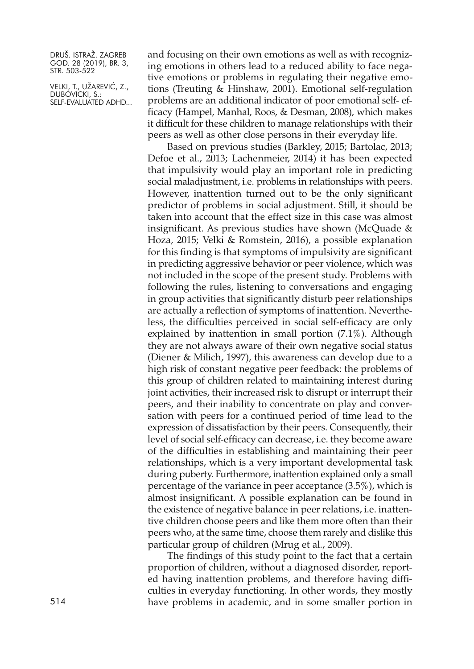VELKI, T., UŽAREVIĆ, Z., DUBOVICKI, S.: SELF-EVALUATED ADHD...

and focusing on their own emotions as well as with recognizing emotions in others lead to a reduced ability to face negative emotions or problems in regulating their negative emotions (Treuting & Hinshaw, 2001). Emotional self-regulation problems are an additional indicator of poor emotional self- efficacy (Hampel, Manhal, Roos, & Desman, 2008), which makes it difficult for these children to manage relationships with their peers as well as other close persons in their everyday life.

Based on previous studies (Barkley, 2015; Bartolac, 2013; Defoe et al., 2013; Lachenmeier, 2014) it has been expected that impulsivity would play an important role in predicting social maladjustment, i.e. problems in relationships with peers. However, inattention turned out to be the only significant predictor of problems in social adjustment. Still, it should be taken into account that the effect size in this case was almost insignificant. As previous studies have shown (McQuade & Hoza, 2015; Velki & Romstein, 2016), a possible explanation for this finding is that symptoms of impulsivity are significant in predicting aggressive behavior or peer violence, which was not included in the scope of the present study. Problems with following the rules, listening to conversations and engaging in group activities that significantly disturb peer relationships are actually a reflection of symptoms of inattention. Nevertheless, the difficulties perceived in social self-efficacy are only explained by inattention in small portion (7.1%). Although they are not always aware of their own negative social status (Diener & Milich, 1997), this awareness can develop due to a high risk of constant negative peer feedback: the problems of this group of children related to maintaining interest during joint activities, their increased risk to disrupt or interrupt their peers, and their inability to concentrate on play and conversation with peers for a continued period of time lead to the expression of dissatisfaction by their peers. Consequently, their level of social self-efficacy can decrease, i.e. they become aware of the difficulties in establishing and maintaining their peer relationships, which is a very important developmental task during puberty. Furthermore, inattention explained only a small percentage of the variance in peer acceptance (3.5%), which is almost insignificant. A possible explanation can be found in the existence of negative balance in peer relations, i.e. inattentive children choose peers and like them more often than their peers who, at the same time, choose them rarely and dislike this particular group of children (Mrug et al., 2009).

The findings of this study point to the fact that a certain proportion of children, without a diagnosed disorder, reported having inattention problems, and therefore having difficulties in everyday functioning. In other words, they mostly have problems in academic, and in some smaller portion in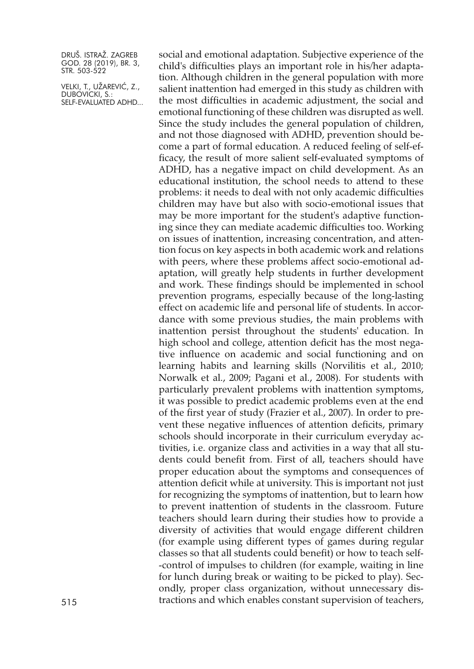VELKI, T., UŽAREVIĆ, Z., DUBOVICKI, S.: SELF-EVALUATED ADHD...

social and emotional adaptation. Subjective experience of the child's difficulties plays an important role in his/her adaptation. Although children in the general population with more salient inattention had emerged in this study as children with the most difficulties in academic adjustment, the social and emotional functioning of these children was disrupted as well. Since the study includes the general population of children, and not those diagnosed with ADHD, prevention should become a part of formal education. A reduced feeling of self-efficacy, the result of more salient self-evaluated symptoms of ADHD, has a negative impact on child development. As an educational institution, the school needs to attend to these problems: it needs to deal with not only academic difficulties children may have but also with socio-emotional issues that may be more important for the student's adaptive functioning since they can mediate academic difficulties too. Working on issues of inattention, increasing concentration, and attention focus on key aspects in both academic work and relations with peers, where these problems affect socio-emotional adaptation, will greatly help students in further development and work. These findings should be implemented in school prevention programs, especially because of the long-lasting effect on academic life and personal life of students. In accordance with some previous studies, the main problems with inattention persist throughout the students' education. In high school and college, attention deficit has the most negative influence on academic and social functioning and on learning habits and learning skills (Norvilitis et al., 2010; Norwalk et al., 2009; Pagani et al., 2008). For students with particularly prevalent problems with inattention symptoms, it was possible to predict academic problems even at the end of the first year of study (Frazier et al., 2007). In order to prevent these negative influences of attention deficits, primary schools should incorporate in their curriculum everyday activities, i.e. organize class and activities in a way that all students could benefit from. First of all, teachers should have proper education about the symptoms and consequences of attention deficit while at university. This is important not just for recognizing the symptoms of inattention, but to learn how to prevent inattention of students in the classroom. Future teachers should learn during their studies how to provide a diversity of activities that would engage different children (for example using different types of games during regular classes so that all students could benefit) or how to teach self- -control of impulses to children (for example, waiting in line for lunch during break or waiting to be picked to play). Secondly, proper class organization, without unnecessary dis-515 tractions and which enables constant supervision of teachers,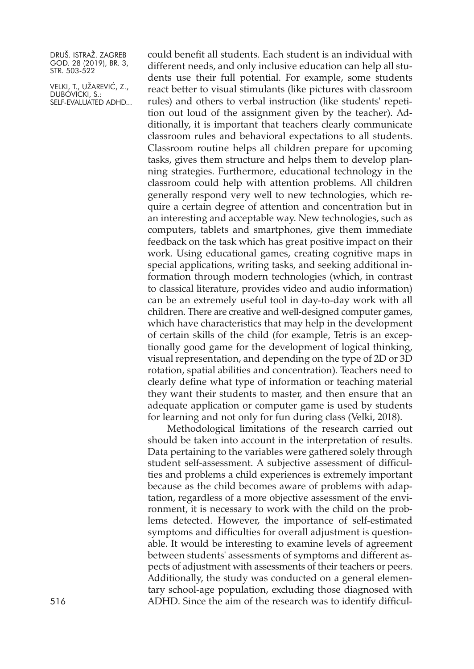VELKI, T., UŽAREVIĆ, Z., DUBOVICKI, S.: SELF-EVALUATED ADHD... could benefit all students. Each student is an individual with different needs, and only inclusive education can help all students use their full potential. For example, some students react better to visual stimulants (like pictures with classroom rules) and others to verbal instruction (like students' repetition out loud of the assignment given by the teacher). Additionally, it is important that teachers clearly communicate classroom rules and behavioral expectations to all students. Classroom routine helps all children prepare for upcoming tasks, gives them structure and helps them to develop planning strategies. Furthermore, educational technology in the classroom could help with attention problems. All children generally respond very well to new technologies, which require a certain degree of attention and concentration but in an interesting and acceptable way. New technologies, such as computers, tablets and smartphones, give them immediate feedback on the task which has great positive impact on their work. Using educational games, creating cognitive maps in special applications, writing tasks, and seeking additional information through modern technologies (which, in contrast to classical literature, provides video and audio information) can be an extremely useful tool in day-to-day work with all children. There are creative and well-designed computer games, which have characteristics that may help in the development of certain skills of the child (for example, Tetris is an exceptionally good game for the development of logical thinking, visual representation, and depending on the type of 2D or 3D rotation, spatial abilities and concentration). Teachers need to clearly define what type of information or teaching material they want their students to master, and then ensure that an adequate application or computer game is used by students for learning and not only for fun during class (Velki, 2018).

Methodological limitations of the research carried out should be taken into account in the interpretation of results. Data pertaining to the variables were gathered solely through student self-assessment. A subjective assessment of difficulties and problems a child experiences is extremely important because as the child becomes aware of problems with adaptation, regardless of a more objective assessment of the environment, it is necessary to work with the child on the problems detected. However, the importance of self-estimated symptoms and difficulties for overall adjustment is questionable. It would be interesting to examine levels of agreement between students' assessments of symptoms and different aspects of adjustment with assessments of their teachers or peers. Additionally, the study was conducted on a general elementary school-age population, excluding those diagnosed with ADHD. Since the aim of the research was to identify difficul-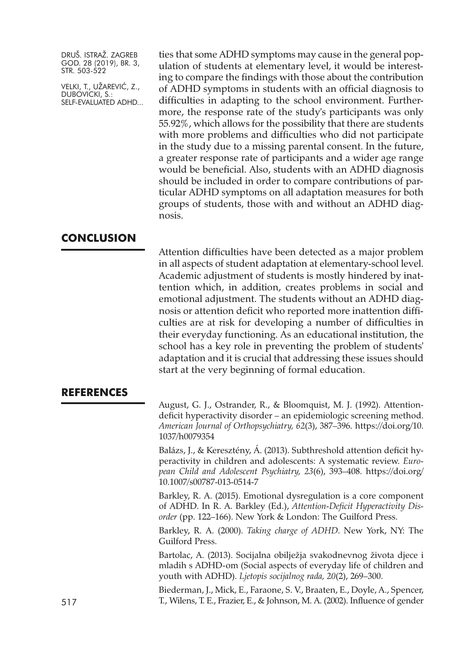VELKI, T., UŽAREVIĆ, Z., DUBOVICKI, S.: SELF-EVALUATED ADHD...

ties that some ADHD symptoms may cause in the general population of students at elementary level, it would be interesting to compare the findings with those about the contribution of ADHD symptoms in students with an official diagnosis to difficulties in adapting to the school environment. Furthermore, the response rate of the study's participants was only 55.92%, which allows for the possibility that there are students with more problems and difficulties who did not participate in the study due to a missing parental consent. In the future, a greater response rate of participants and a wider age range would be beneficial. Also, students with an ADHD diagnosis should be included in order to compare contributions of particular ADHD symptoms on all adaptation measures for both groups of students, those with and without an ADHD diagnosis.

## **CONCLUSION**

Attention difficulties have been detected as a major problem in all aspects of student adaptation at elementary-school level. Academic adjustment of students is mostly hindered by inattention which, in addition, creates problems in social and emotional adjustment. The students without an ADHD diagnosis or attention deficit who reported more inattention difficulties are at risk for developing a number of difficulties in their everyday functioning. As an educational institution, the school has a key role in preventing the problem of students' adaptation and it is crucial that addressing these issues should start at the very beginning of formal education.

#### **REFERENCES**

August, G. J., Ostrander, R., & Bloomquist, M. J. (1992). Attentiondeficit hyperactivity disorder – an epidemiologic screening method. *American Journal of Orthopsychiatry, 62*(3), 387–396. [https://doi.org/10.](https://doi.org/10.1037/h0079354) [1037/h0079354](https://doi.org/10.1037/h0079354)

Balázs, J., & Keresztény, Á. (2013). Subthreshold attention deficit hyperactivity in children and adolescents: A systematic review. *European Child and Adolescent Psychiatry, 23*(6), 393–408. [https://doi.org/](https://doi.org/10.1007/s00787-013-0514-7) [10.1007/s00787-013-0514-7](https://doi.org/10.1007/s00787-013-0514-7)

Barkley, R. A. (2015). Emotional dysregulation is a core component of ADHD. In R. A. Barkley (Ed.), *Attention-Deficit Hyperactivity Disorder* (pp. 122–166). New York & London: The Guilford Press.

Barkley, R. A. (2000). *Taking charge of ADHD*. New York, NY: The Guilford Press.

Bartolac, A. (2013). Socijalna obilježja svakodnevnog života djece i mladih s ADHD-om (Social aspects of everyday life of children and youth with ADHD). *Ljetopis socijalnog rada, 20*(2), 269–300.

Biederman, J., Mick, E., Faraone, S. V., Braaten, E., Doyle, A., Spencer, 517 T., Wilens, T. E., Frazier, E., & Johnson, M. A. (2002). Influence of gender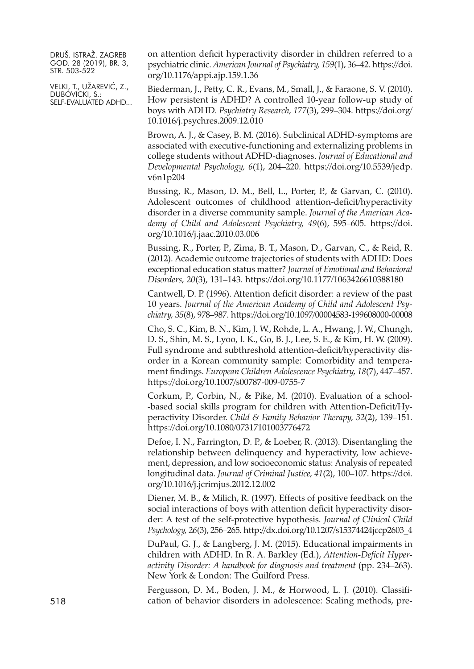VELKI, T., UŽAREVIĆ, Z., DUBOVICKI, S.: SELF-EVALUATED ADHD... on attention deficit hyperactivity disorder in children referred to a psychiatric clinic. *American Journal of Psychiatry, 159*(1), 36–42. [https://doi.](https://doi.org/10.1176/appi.ajp.159.1.36) [org/10.1176/appi.ajp.159.1.36](https://doi.org/10.1176/appi.ajp.159.1.36)

Biederman, J., Petty, C. R., Evans, M., Small, J., & Faraone, S. V. (2010). How persistent is ADHD? A controlled 10-year follow-up study of boys with ADHD. *Psychiatry Research, 177*(3), 299–304. [https://doi.org/](https://doi.org/10.1016/j.psychres.2009.12.010) [10.1016/j.psychres.2009.12.010](https://doi.org/10.1016/j.psychres.2009.12.010)

Brown, A. J., & Casey, B. M. (2016). Subclinical ADHD-symptoms are associated with executive-functioning and externalizing problems in college students without ADHD-diagnoses. *Journal of Educational and Developmental Psychology, 6*(1), 204–220. [https://doi.org/10.5539/jedp.](https://doi.org/10.5539/jedp.v6n1p204) [v6n1p204](https://doi.org/10.5539/jedp.v6n1p204)

Bussing, R., Mason, D. M., Bell, L., Porter, P., & Garvan, C. (2010). Adolescent outcomes of childhood attention-deficit/hyperactivity disorder in a diverse community sample. *Journal of the American Academy of Child and Adolescent Psychiatry, 49*(6), 595–605. [https://doi.](https://doi.org/10.1016/j.jaac.2010.03.006) [org/10.1016/j.jaac.2010.03.006](https://doi.org/10.1016/j.jaac.2010.03.006)

Bussing, R., Porter, P., Zima, B. T., Mason, D., Garvan, C., & Reid, R. (2012). Academic outcome trajectories of students with ADHD: Does exceptional education status matter? *Journal of Emotional and Behavioral Disorders, 20*(3), 131–143. <https://doi.org/10.1177/1063426610388180>

Cantwell, D. P. (1996). Attention deficit disorder: a review of the past 10 years. *Journal of the American Academy of Child and Adolescent Psychiatry, 35*(8), 978–987. <https://doi.org/10.1097/00004583-199608000-00008>

Cho, S. C., Kim, B. N., Kim, J. W., Rohde, L. A., Hwang, J. W., Chungh, D. S., Shin, M. S., Lyoo, I. K., Go, B. J., Lee, S. E., & Kim, H. W. (2009). Full syndrome and subthreshold attention-deficit/hyperactivity disorder in a Korean community sample: Comorbidity and temperament findings. *European Children Adolescence Psychiatry, 18*(7), 447–457. <https://doi.org/10.1007/s00787-009-0755-7>

Corkum, P., Corbin, N., & Pike, M. (2010). Evaluation of a school- -based social skills program for children with Attention-Deficit/Hyperactivity Disorder. *Child & Family Behavior Therapy, 32*(2), 139–151. <https://doi.org/10.1080/07317101003776472>

Defoe, I. N., Farrington, D. P., & Loeber, R. (2013). Disentangling the relationship between delinquency and hyperactivity, low achievement, depression, and low socioeconomic status: Analysis of repeated longitudinal data. *Journal of Criminal Justice, 41*(2), 100–107. [https://doi.](https://doi.org/10.1016/j.jcrimjus.2012.12.002) [org/10.1016/j.jcrimjus.2012.12.002](https://doi.org/10.1016/j.jcrimjus.2012.12.002)

Diener, M. B., & Milich, R. (1997). Effects of positive feedback on the social interactions of boys with attention deficit hyperactivity disorder: A test of the self-protective hypothesis. *Journal of Clinical Child Psychology, 26*(3), 256–265. [http://dx.doi.org/10.1207/s15374424jccp2603\\_4](http://dx.doi.org/10.1207/s15374424jccp2603_4)

DuPaul, G. J., & Langberg, J. M. (2015). Educational impairments in children with ADHD. In R. A. Barkley (Ed.), *Attention-Deficit Hyperactivity Disorder: A handbook for diagnosis and treatment* (pp. 234–263). New York & London: The Guilford Press.

Fergusson, D. M., Boden, J. M., & Horwood, L. J. (2010). Classification of behavior disorders in adolescence: Scaling methods, pre-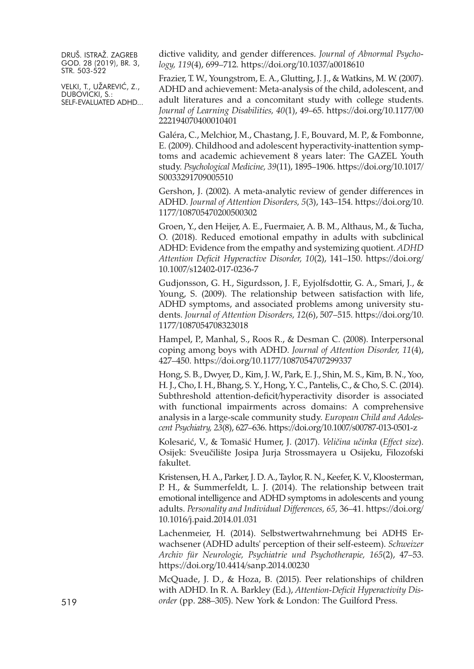VELKI, T., UŽAREVIĆ, Z., DUBOVICKI, S.: SELF-EVALUATED ADHD... dictive validity, and gender differences. *Journal of Abnormal Psychology, 119*(4), 699–712. <https://doi.org/10.1037/a0018610>

Frazier, T. W., Youngstrom, E. A., Glutting, J. J., & Watkins, M. W. (2007). ADHD and achievement: Meta-analysis of the child, adolescent, and adult literatures and a concomitant study with college students. *Journal of Learning Disabilities, 40*(1), 49–65. [https://doi.org/10.1177/00](https://doi.org/10.1177/00222194070400010401) [222194070400010401](https://doi.org/10.1177/00222194070400010401)

Galéra, C., Melchior, M., Chastang, J. F., Bouvard, M. P., & Fombonne, E. (2009). Childhood and adolescent hyperactivity-inattention symptoms and academic achievement 8 years later: The GAZEL Youth study. *Psychological Medicine, 39*(11), 1895–1906. [https://doi.org/10.1017/](https://doi.org/10.1017/S0033291709005510) [S0033291709005510](https://doi.org/10.1017/S0033291709005510)

Gershon, J. (2002). A meta-analytic review of gender differences in ADHD. *Journal of Attention Disorders, 5*(3), 143–154. [https://doi.org/10.](https://doi.org/10.1177/108705470200500302) [1177/108705470200500302](https://doi.org/10.1177/108705470200500302)

Groen, Y., den Heijer, A. E., Fuermaier, A. B. M., Althaus, M., & Tucha, O. (2018). Reduced emotional empathy in adults with subclinical ADHD: Evidence from the empathy and systemizing quotient. *ADHD Attention Deficit Hyperactive Disorder, 10*(2), 141–150. [https://doi.org/](https://doi.org/10.1007/s12402-017-0236-7) [10.1007/s12402-017-0236-7](https://doi.org/10.1007/s12402-017-0236-7)

Gudjonsson, G. H., Sigurdsson, J. F., Eyjolfsdottir, G. A., Smari, J., & Young, S. (2009). The relationship between satisfaction with life, ADHD symptoms, and associated problems among university students. *Journal of Attention Disorders, 12*(6), 507–515. [https://doi.org/10.](https://doi.org/10.1177/1087054708323018) [1177/1087054708323018](https://doi.org/10.1177/1087054708323018)

Hampel, P., Manhal, S., Roos R., & Desman C. (2008). Interpersonal coping among boys with ADHD. *Journal of Attention Disorder, 11*(4), 427–450. <https://doi.org/10.1177/1087054707299337>

Hong, S. B., Dwyer, D., Kim, J. W., Park, E. J., Shin, M. S., Kim, B. N., Yoo, H. J., Cho, I. H., Bhang, S. Y., Hong, Y. C., Pantelis, C., & Cho, S. C. (2014). Subthreshold attention-deficit/hyperactivity disorder is associated with functional impairments across domains: A comprehensive analysis in a large-scale community study. *European Child and Adolescent Psychiatry, 23*(8), 627–636. <https://doi.org/10.1007/s00787-013-0501-z>

Kolesarić, V., & Tomašić Humer, J. (2017). *Veličina učinka* (*Effect size*). Osijek: Sveučilište Josipa Jurja Strossmayera u Osijeku, Filozofski fakultet.

Kristensen, H. A., Parker, J. D. A., Taylor, R. N., Keefer, K. V., Kloosterman, P. H., & Summerfeldt, L. J. (2014). The relationship between trait emotional intelligence and ADHD symptoms in adolescents and young adults. *Personality and Individual Differences, 65,* 36–41. [https://doi.org/](http://dx.doi.org/10.1016/j.paid.2014.01.031) [10.1016/j.paid.2014.01.031](http://dx.doi.org/10.1016/j.paid.2014.01.031)

Lachenmeier, H. (2014). Selbstwertwahrnehmung bei ADHS Erwachsener (ADHD adults' perception of their self-esteem). *Schweizer Archiv für Neurologie, Psychiatrie und Psychotherapie, 165*(2), 47–53. <https://doi.org/10.4414/sanp.2014.00230>

McQuade, J. D., & Hoza, B. (2015). Peer relationships of children with ADHD. In R. A. Barkley (Ed.), *Attention-Deficit Hyperactivity Dis-*519 *order* (pp. 288–305). New York & London: The Guilford Press.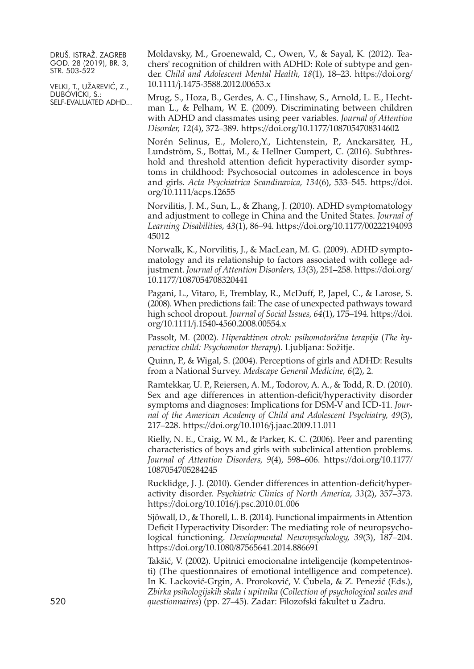VELKI, T., UŽAREVIĆ, Z., DUBOVICKI, S.: SELF-EVALUATED ADHD... Moldavsky, M., Groenewald, C., Owen, V., & Sayal, K. (2012). Teachers' recognition of children with ADHD: Role of subtype and gender. *Child and Adolescent Mental Health, 18*(1), 18–23. [https://doi.org/](https://doi.org/10.1111/j.1475-3588.2012.00653.x) [10.1111/j.1475-3588.2012.00653.x](https://doi.org/10.1111/j.1475-3588.2012.00653.x)

Mrug, S., Hoza, B., Gerdes, A. C., Hinshaw, S., Arnold, L. E., Hechtman L., & Pelham, W. E. (2009). Discriminating between children with ADHD and classmates using peer variables. *Journal of Attention Disorder, 12*(4), 372–389. <https://doi.org/10.1177/1087054708314602>

Norén Selinus, E., Molero,Y., Lichtenstein, P., Anckarsäter, H., Lundström, S., Bottai, M., & Hellner Gumpert, C. (2016). Subthreshold and threshold attention deficit hyperactivity disorder symptoms in childhood: Psychosocial outcomes in adolescence in boys and girls. *Acta Psychiatrica Scandinavica, 134*(6), 533–545. [https://doi.](https://doi.org/10.1111/acps.12655) [org/10.1111/acps.12655](https://doi.org/10.1111/acps.12655)

Norvilitis, J. M., Sun, L., & Zhang, J. (2010). ADHD symptomatology and adjustment to college in China and the United States. *Journal of Learning Disabilities, 43*(1), 86–94. [https://doi.org/10.1177/00222194093](https://doi.org/10.1177/0022219409345012) [45012](https://doi.org/10.1177/0022219409345012)

Norwalk, K., Norvilitis, J., & MacLean, M. G. (2009). ADHD symptomatology and its relationship to factors associated with college adjustment. *Journal of Attention Disorders, 13*(3), 251–258. [https://doi.org/](https://doi.org/10.1177/1087054708320441) [10.1177/1087054708320441](https://doi.org/10.1177/1087054708320441)

Pagani, L., Vitaro, F., Tremblay, R., McDuff, P., Japel, C., & Larose, S. (2008). When predictions fail: The case of unexpected pathways toward high school dropout. *Journal of Social Issues, 64*(1), 175–194. [https://doi.](https://doi.org/10.1111/j.1540-4560.2008.00554.x) [org/10.1111/j.1540-4560.2008.00554.x](https://doi.org/10.1111/j.1540-4560.2008.00554.x)

Passolt, M. (2002). *Hiperaktiven otrok: psihomotorična terapija* (*The hyperactive child: Psychomotor therapy*). Ljubljana: Sožitje.

Quinn, P., & Wigal, S. (2004). Perceptions of girls and ADHD: Results from a National Survey. *Medscape General Medicine, 6*(2), 2.

Ramtekkar, U. P., Reiersen, A. M., Todorov, A. A., & Todd, R. D. (2010). Sex and age differences in attention-deficit/hyperactivity disorder symptoms and diagnoses: Implications for DSM-V and ICD-11. *Journal of the American Academy of Child and Adolescent Psychiatry, 49*(3), 217–228. <https://doi.org/10.1016/j.jaac.2009.11.011>

Rielly, N. E., Craig, W. M., & Parker, K. C. (2006). Peer and parenting characteristics of boys and girls with subclinical attention problems. *Journal of Attention Disorders, 9*(4), 598–606. [https://doi.org/10.1177/](https://doi.org/10.1177/1087054705284245) [1087054705284245](https://doi.org/10.1177/1087054705284245)

Rucklidge, J. J. (2010). Gender differences in attention-deficit/hyperactivity disorder. *Psychiatric Clinics of North America, 33*(2), 357–373. <https://doi.org/10.1016/j.psc.2010.01.006>

Sjöwall, D., & Thorell, L. B. (2014). Functional impairments in Attention Deficit Hyperactivity Disorder: The mediating role of neuropsychological functioning. *Developmental Neuropsychology, 39*(3), 187–204. <https://doi.org/10.1080/87565641.2014.886691>

Takšić, V. (2002). Upitnici emocionalne inteligencije (kompetentnosti) (The questionnaires of emotional intelligence and competence). In K. Lacković-Grgin, A. Proroković, V. Ćubela, & Z. Penezić (Eds.), *Zbirka psihologijskih skala i upitnika* (*Collection of psychological scales and questionnaires*) (pp. 27–45). Zadar: Filozofski fakultet u Zadru.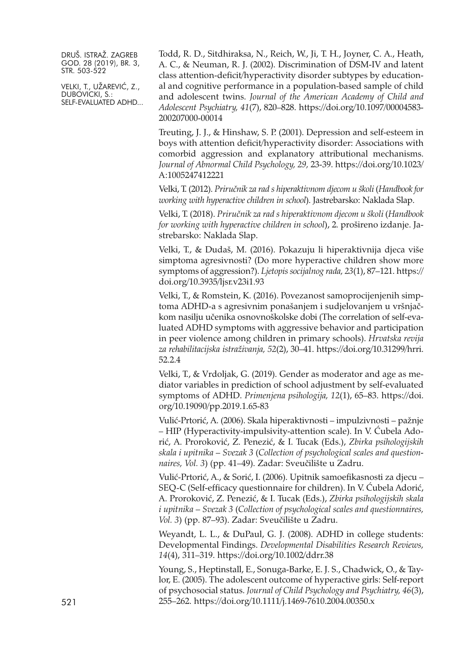VELKI, T., UŽAREVIĆ, Z., DUBOVICKI, S.: SELF-EVALUATED ADHD...

Todd, R. D., Sitdhiraksa, N., Reich, W., Ji, T. H., Joyner, C. A., Heath, A. C., & Neuman, R. J. (2002). Discrimination of DSM-IV and latent class attention-deficit/hyperactivity disorder subtypes by educational and cognitive performance in a population-based sample of child and adolescent twins. *Journal of the American Academy of Child and Adolescent Psychiatry, 41*(7), 820–828. [https://doi.org/10.1097/00004583-](https://doi.org/10.1097/00004583-200207000-00014) [200207000-00014](https://doi.org/10.1097/00004583-200207000-00014)

Treuting, J. J., & Hinshaw, S. P. (2001). Depression and self-esteem in boys with attention deficit/hyperactivity disorder: Associations with comorbid aggression and explanatory attributional mechanisms. *Journal of Abnormal Child Psychology, 29,* 23-39. [https://doi.org/10.1023/](https://doi.org/10.1023/A:1005247412221) [A:1005247412221](https://doi.org/10.1023/A:1005247412221)

Velki, T. (2012). *Priručnik za rad s hiperaktivnom djecom u školi* (*Handbook for working with hyperactive children in school*). Jastrebarsko: Naklada Slap.

Velki, T. (2018). *Priručnik za rad s hiperaktivnom djecom u školi* (*Handbook for working with hyperactive children in school*), 2. prošireno izdanje. Jastrebarsko: Naklada Slap.

Velki, T., & Dudaš, M. (2016). Pokazuju li hiperaktivnija djeca više simptoma agresivnosti? (Do more hyperactive children show more symptoms of aggression?). *Ljetopissocijalnog rada, 23*(1), 87–121. [https://](https://doi.org/10.3935/ljsr.v23i1.93) [doi.org/10.3935/ljsr.v23i1.93](https://doi.org/10.3935/ljsr.v23i1.93)

Velki, T., & Romstein, K. (2016). Povezanost samoprocijenjenih simptoma ADHD-a s agresivnim ponašanjem i sudjelovanjem u vršnjačkom nasilju učenika osnovnoškolske dobi (The correlation of self-evaluated ADHD symptoms with aggressive behavior and participation in peer violence among children in primary schools). *Hrvatska revija za rehabilitacijska istraživanja, 52*(2), 30–41. [https://doi.org/10.31299/hrri.](https://doi.org/10.31299/hrri.52.2.4) [52.2.4](https://doi.org/10.31299/hrri.52.2.4)

Velki, T., & Vrdoljak, G. (2019). Gender as moderator and age as mediator variables in prediction of school adjustment by self-evaluated symptoms of ADHD. *Primenjena psihologija, 12*(1), 65–83. [https://doi.](https://doi.org/10.19090/pp.2019.1.65-83) [org/10.19090/pp.2019.1.65-83](https://doi.org/10.19090/pp.2019.1.65-83)

Vulić-Prtorić, A. (2006). Skala hiperaktivnosti – impulzivnosti – pažnje – HIP (Hyperactivity-impulsivity-attention scale). In V. Ćubela Adorić, A. Proroković, Z. Penezić, & I. Tucak (Eds.), *Zbirka psihologijskih skala i upitnika – Svezak 3* (*Collection of psychological scales and questionnaires, Vol. 3*) (pp. 41–49). Zadar: Sveučilište u Zadru.

Vulić-Prtorić, A., & Sorić, I. (2006). Upitnik samoefikasnosti za djecu – SEQ-C (Self-efficacy questionnaire for children). In V. Ćubela Adorić, A. Proroković, Z. Penezić, & I. Tucak (Eds.), *Zbirka psihologijskih skala i upitnika – Svezak 3* (*Collection of psychological scales and questionnaires, Vol. 3*) (pp. 87–93). Zadar: Sveučilište u Zadru.

Weyandt, L. L., & DuPaul, G. J. (2008). ADHD in college students: Developmental Findings. *Developmental Disabilities Research Reviews, 14*(4), 311–319. <https://doi.org/10.1002/ddrr.38>

Young, S., Heptinstall, E., Sonuga-Barke, E. J. S., Chadwick, O., & Taylor, E. (2005). The adolescent outcome of hyperactive girls: Self-report of psychosocial status. *Journal of Child Psychology and Psychiatry, 46*(3), 521 255–262. <https://doi.org/10.1111/j.1469-7610.2004.00350.x>